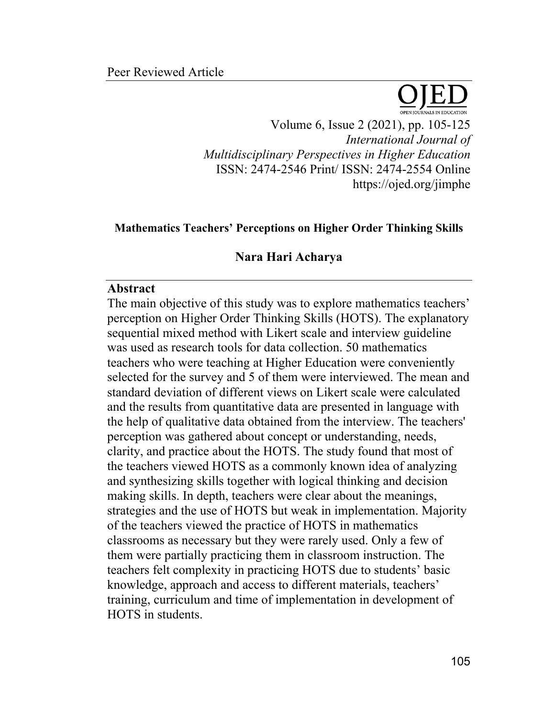

Volume 6, Issue 2 (2021), pp. 105-125 *International Journal of Multidisciplinary Perspectives in Higher Education* ISSN: 2474-2546 Print/ ISSN: 2474-2554 Online https://ojed.org/jimphe

### **Mathematics Teachers' Perceptions on Higher Order Thinking Skills**

#### **Nara Hari Acharya**

#### **Abstract**

The main objective of this study was to explore mathematics teachers' perception on Higher Order Thinking Skills (HOTS). The explanatory sequential mixed method with Likert scale and interview guideline was used as research tools for data collection. 50 mathematics teachers who were teaching at Higher Education were conveniently selected for the survey and 5 of them were interviewed. The mean and standard deviation of different views on Likert scale were calculated and the results from quantitative data are presented in language with the help of qualitative data obtained from the interview. The teachers' perception was gathered about concept or understanding, needs, clarity, and practice about the HOTS. The study found that most of the teachers viewed HOTS as a commonly known idea of analyzing and synthesizing skills together with logical thinking and decision making skills. In depth, teachers were clear about the meanings, strategies and the use of HOTS but weak in implementation. Majority of the teachers viewed the practice of HOTS in mathematics classrooms as necessary but they were rarely used. Only a few of them were partially practicing them in classroom instruction. The teachers felt complexity in practicing HOTS due to students' basic knowledge, approach and access to different materials, teachers' training, curriculum and time of implementation in development of HOTS in students.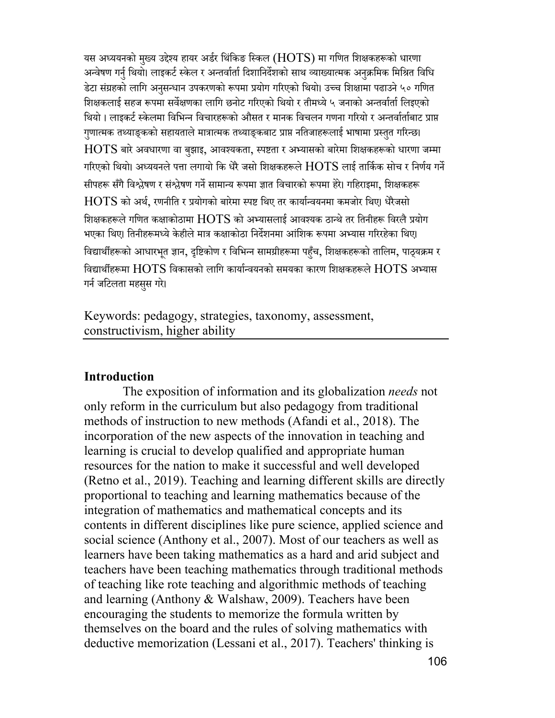यस अध्ययनको मुख्य उद्देश्य हायर अर्डर थिंकिङ स्किल  $(\mathrm{HOTS})$  मा गणित शिक्षकहरूको धारणा अन्वेषण गर्नु थियो। लाइकर्ट स्केल र अन्तर्वार्ता दिशानिर्देशको साथ व्याख्यात्मक अनुक्रमिक मिश्रित विधि डेटा संग्रहको लागि अनुसन्धान उपकरणको रूपमा प्रयोग गरिएको थियो। उच्च शिक्षामा पढाउने ५० गणित<br>' शिक्षकलाई सहज रूपमा सर्वेक्षणका लागि छनोट गरिएको थियो र तीमध्ये ५ जनाको अन्तर्वार्ता लिइएको थियो । लाइकर्ट स्केलमा विभिन्न विचारहरूको औसत र मानक विचलन गणना गरियो र अन्तर्वार्ताबाट प्राप्त गुणात्मक तथ्याङ्कको सहायताले मात्रात्मक तथ्याङ्कबाट प्राप्त नतिजाहरूलाई भाषामा प्रस्तुत गरिन्छ।  $HOTS$  बारे अवधारणा वा बुझाइ, आवश्यकता, स्पष्टता र अभ्यासको बारेमा शिक्षकहरूको धारणा जम्मा गरिएको थियो। अध्ययनले पत्ता लगायो कि धेरै जसो शिक्षकहरूले  $\rm{HOTS}$  लाई तार्किक सोच र निर्णय गर्ने सीपहरू सँगै विश्लेषण र संश्लेषण गर्ने सामान्य रूपमा ज्ञात विचारको रूपमा हेरे। गहिराइमा<mark>,</mark> शिक्षकहरू  $HOTS$  को अर्थ, रणनीति र प्रयोगको बारेमा स्पष्ट थिए तर कार्यान्वयनमा कमजोर थिए। धेरैजसो शिक्षकहरूले गणित कक्षाकोठामा  $\rm{HOTS}$  को अभ्यासलाई आवश्यक ठान्थे तर तिनीहरू विरलै प्रयोग भएका थिए। तिनीहरूमध्ये केहीले मात्र कक्षाकोठा निर्देशनमा आंशिक रूपमा अभ्यास गरिरहेका थिए। विद्यार्थीहरूको आधारभूत ज्ञान, दृष्टिकोण र विभिन्न सामग्रीहरूमा पहुँच, शिक्षकहरूको तालिम, पाठ्यक्रम र विद्यार्थीहरूमा  $HOTS$  विकासको लागि कार्यान्वयनको समयका कारण शिक्षकहरूले  $HOTS$  अभ्यास गर्न जटिलता महसुस गरे।

Keywords: pedagogy, strategies, taxonomy, assessment, constructivism, higher ability

#### **Introduction**

The exposition of information and its globalization *needs* not only reform in the curriculum but also pedagogy from traditional methods of instruction to new methods (Afandi et al., 2018). The incorporation of the new aspects of the innovation in teaching and learning is crucial to develop qualified and appropriate human resources for the nation to make it successful and well developed (Retno et al., 2019). Teaching and learning different skills are directly proportional to teaching and learning mathematics because of the integration of mathematics and mathematical concepts and its contents in different disciplines like pure science, applied science and social science (Anthony et al., 2007). Most of our teachers as well as learners have been taking mathematics as a hard and arid subject and teachers have been teaching mathematics through traditional methods of teaching like rote teaching and algorithmic methods of teaching and learning (Anthony & Walshaw, 2009). Teachers have been encouraging the students to memorize the formula written by themselves on the board and the rules of solving mathematics with deductive memorization (Lessani et al., 2017). Teachers' thinking is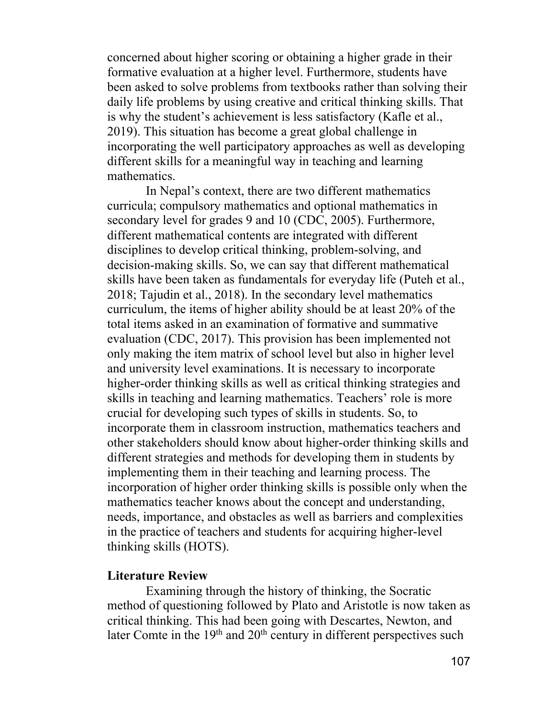concerned about higher scoring or obtaining a higher grade in their formative evaluation at a higher level. Furthermore, students have been asked to solve problems from textbooks rather than solving their daily life problems by using creative and critical thinking skills. That is why the student's achievement is less satisfactory (Kafle et al., 2019). This situation has become a great global challenge in incorporating the well participatory approaches as well as developing different skills for a meaningful way in teaching and learning mathematics.

In Nepal's context, there are two different mathematics curricula; compulsory mathematics and optional mathematics in secondary level for grades 9 and 10 (CDC, 2005). Furthermore, different mathematical contents are integrated with different disciplines to develop critical thinking, problem-solving, and decision-making skills. So, we can say that different mathematical skills have been taken as fundamentals for everyday life (Puteh et al., 2018; Tajudin et al., 2018). In the secondary level mathematics curriculum, the items of higher ability should be at least 20% of the total items asked in an examination of formative and summative evaluation (CDC, 2017). This provision has been implemented not only making the item matrix of school level but also in higher level and university level examinations. It is necessary to incorporate higher-order thinking skills as well as critical thinking strategies and skills in teaching and learning mathematics. Teachers' role is more crucial for developing such types of skills in students. So, to incorporate them in classroom instruction, mathematics teachers and other stakeholders should know about higher-order thinking skills and different strategies and methods for developing them in students by implementing them in their teaching and learning process. The incorporation of higher order thinking skills is possible only when the mathematics teacher knows about the concept and understanding, needs, importance, and obstacles as well as barriers and complexities in the practice of teachers and students for acquiring higher-level thinking skills (HOTS).

#### **Literature Review**

Examining through the history of thinking, the Socratic method of questioning followed by Plato and Aristotle is now taken as critical thinking. This had been going with Descartes, Newton, and later Comte in the  $19<sup>th</sup>$  and  $20<sup>th</sup>$  century in different perspectives such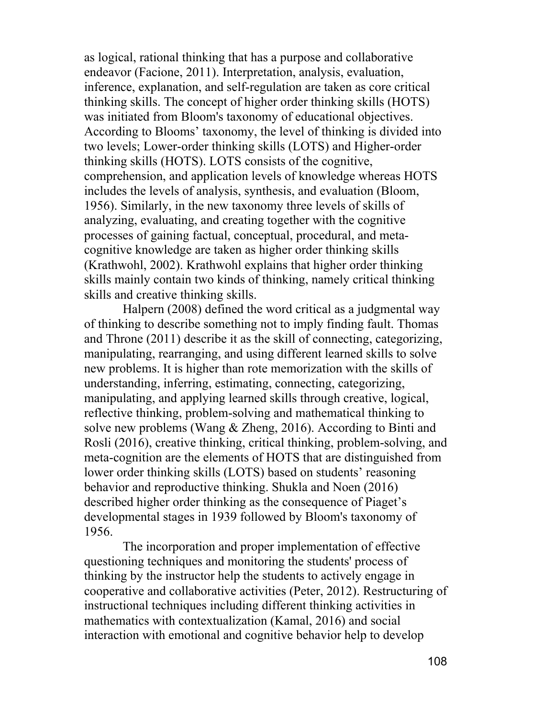as logical, rational thinking that has a purpose and collaborative endeavor (Facione, 2011). Interpretation, analysis, evaluation, inference, explanation, and self-regulation are taken as core critical thinking skills. The concept of higher order thinking skills (HOTS) was initiated from Bloom's taxonomy of educational objectives. According to Blooms' taxonomy, the level of thinking is divided into two levels; Lower-order thinking skills (LOTS) and Higher-order thinking skills (HOTS). LOTS consists of the cognitive, comprehension, and application levels of knowledge whereas HOTS includes the levels of analysis, synthesis, and evaluation (Bloom, 1956). Similarly, in the new taxonomy three levels of skills of analyzing, evaluating, and creating together with the cognitive processes of gaining factual, conceptual, procedural, and metacognitive knowledge are taken as higher order thinking skills (Krathwohl, 2002). Krathwohl explains that higher order thinking skills mainly contain two kinds of thinking, namely critical thinking skills and creative thinking skills.

Halpern (2008) defined the word critical as a judgmental way of thinking to describe something not to imply finding fault. Thomas and Throne (2011) describe it as the skill of connecting, categorizing, manipulating, rearranging, and using different learned skills to solve new problems. It is higher than rote memorization with the skills of understanding, inferring, estimating, connecting, categorizing, manipulating, and applying learned skills through creative, logical, reflective thinking, problem-solving and mathematical thinking to solve new problems (Wang & Zheng, 2016). According to Binti and Rosli (2016), creative thinking, critical thinking, problem-solving, and meta-cognition are the elements of HOTS that are distinguished from lower order thinking skills (LOTS) based on students' reasoning behavior and reproductive thinking. Shukla and Noen (2016) described higher order thinking as the consequence of Piaget's developmental stages in 1939 followed by Bloom's taxonomy of 1956.

The incorporation and proper implementation of effective questioning techniques and monitoring the students' process of thinking by the instructor help the students to actively engage in cooperative and collaborative activities (Peter, 2012). Restructuring of instructional techniques including different thinking activities in mathematics with contextualization (Kamal, 2016) and social interaction with emotional and cognitive behavior help to develop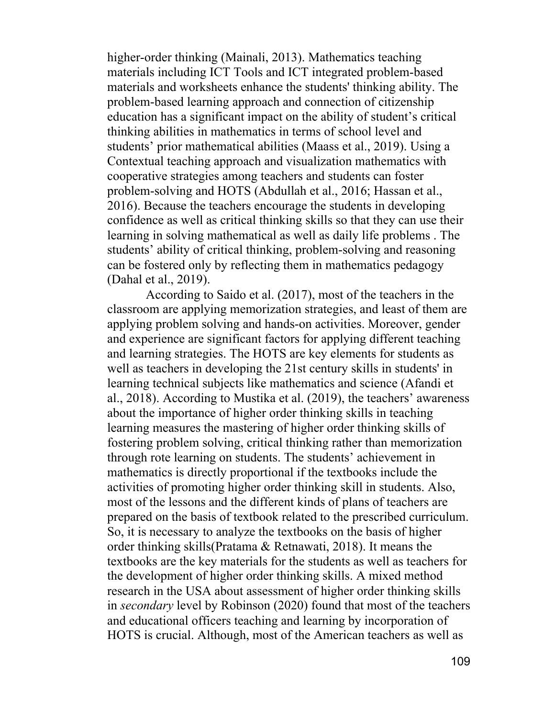higher-order thinking (Mainali, 2013). Mathematics teaching materials including ICT Tools and ICT integrated problem-based materials and worksheets enhance the students' thinking ability. The problem-based learning approach and connection of citizenship education has a significant impact on the ability of student's critical thinking abilities in mathematics in terms of school level and students' prior mathematical abilities (Maass et al., 2019). Using a Contextual teaching approach and visualization mathematics with cooperative strategies among teachers and students can foster problem-solving and HOTS (Abdullah et al., 2016; Hassan et al., 2016). Because the teachers encourage the students in developing confidence as well as critical thinking skills so that they can use their learning in solving mathematical as well as daily life problems . The students' ability of critical thinking, problem-solving and reasoning can be fostered only by reflecting them in mathematics pedagogy (Dahal et al., 2019).

According to Saido et al. (2017), most of the teachers in the classroom are applying memorization strategies, and least of them are applying problem solving and hands-on activities. Moreover, gender and experience are significant factors for applying different teaching and learning strategies. The HOTS are key elements for students as well as teachers in developing the 21st century skills in students' in learning technical subjects like mathematics and science (Afandi et al., 2018). According to Mustika et al. (2019), the teachers' awareness about the importance of higher order thinking skills in teaching learning measures the mastering of higher order thinking skills of fostering problem solving, critical thinking rather than memorization through rote learning on students. The students' achievement in mathematics is directly proportional if the textbooks include the activities of promoting higher order thinking skill in students. Also, most of the lessons and the different kinds of plans of teachers are prepared on the basis of textbook related to the prescribed curriculum. So, it is necessary to analyze the textbooks on the basis of higher order thinking skills(Pratama & Retnawati, 2018). It means the textbooks are the key materials for the students as well as teachers for the development of higher order thinking skills. A mixed method research in the USA about assessment of higher order thinking skills in *secondary* level by Robinson (2020) found that most of the teachers and educational officers teaching and learning by incorporation of HOTS is crucial. Although, most of the American teachers as well as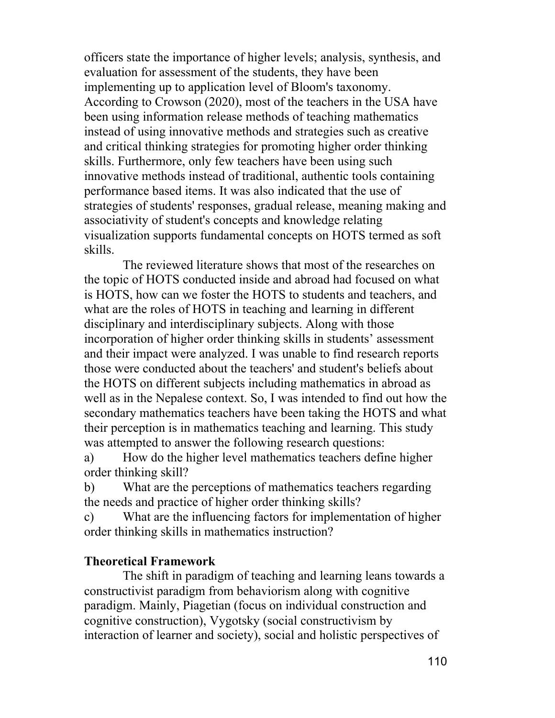officers state the importance of higher levels; analysis, synthesis, and evaluation for assessment of the students, they have been implementing up to application level of Bloom's taxonomy. According to Crowson (2020), most of the teachers in the USA have been using information release methods of teaching mathematics instead of using innovative methods and strategies such as creative and critical thinking strategies for promoting higher order thinking skills. Furthermore, only few teachers have been using such innovative methods instead of traditional, authentic tools containing performance based items. It was also indicated that the use of strategies of students' responses, gradual release, meaning making and associativity of student's concepts and knowledge relating visualization supports fundamental concepts on HOTS termed as soft skills.

The reviewed literature shows that most of the researches on the topic of HOTS conducted inside and abroad had focused on what is HOTS, how can we foster the HOTS to students and teachers, and what are the roles of HOTS in teaching and learning in different disciplinary and interdisciplinary subjects. Along with those incorporation of higher order thinking skills in students' assessment and their impact were analyzed. I was unable to find research reports those were conducted about the teachers' and student's beliefs about the HOTS on different subjects including mathematics in abroad as well as in the Nepalese context. So, I was intended to find out how the secondary mathematics teachers have been taking the HOTS and what their perception is in mathematics teaching and learning. This study was attempted to answer the following research questions:

a) How do the higher level mathematics teachers define higher order thinking skill?

b) What are the perceptions of mathematics teachers regarding the needs and practice of higher order thinking skills?

c) What are the influencing factors for implementation of higher order thinking skills in mathematics instruction?

## **Theoretical Framework**

The shift in paradigm of teaching and learning leans towards a constructivist paradigm from behaviorism along with cognitive paradigm. Mainly, Piagetian (focus on individual construction and cognitive construction), Vygotsky (social constructivism by interaction of learner and society), social and holistic perspectives of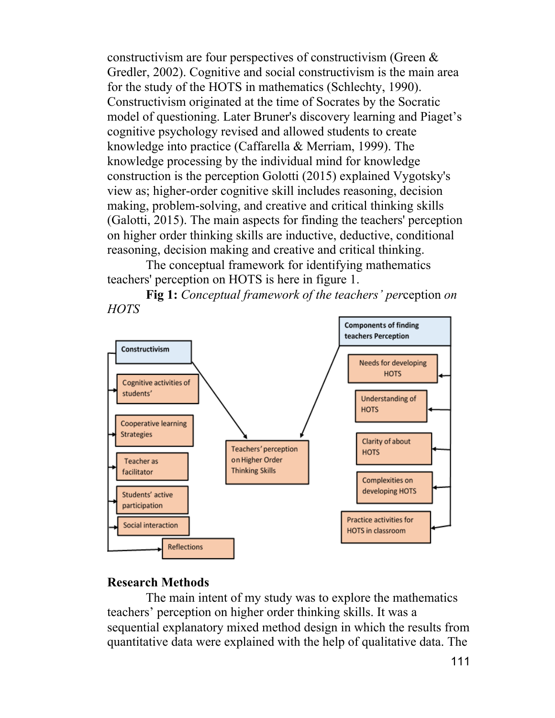constructivism are four perspectives of constructivism (Green & Gredler, 2002). Cognitive and social constructivism is the main area for the study of the HOTS in mathematics (Schlechty, 1990). Constructivism originated at the time of Socrates by the Socratic model of questioning. Later Bruner's discovery learning and Piaget's cognitive psychology revised and allowed students to create knowledge into practice (Caffarella & Merriam, 1999). The knowledge processing by the individual mind for knowledge construction is the perception Golotti (2015) explained Vygotsky's view as; higher-order cognitive skill includes reasoning, decision making, problem-solving, and creative and critical thinking skills (Galotti, 2015). The main aspects for finding the teachers' perception on higher order thinking skills are inductive, deductive, conditional reasoning, decision making and creative and critical thinking.

The conceptual framework for identifying mathematics teachers' perception on HOTS is here in figure 1.

**Fig 1:** *Conceptual framework of the teachers' per*ception *on HOTS*



# **Research Methods**

The main intent of my study was to explore the mathematics teachers' perception on higher order thinking skills. It was a sequential explanatory mixed method design in which the results from quantitative data were explained with the help of qualitative data. The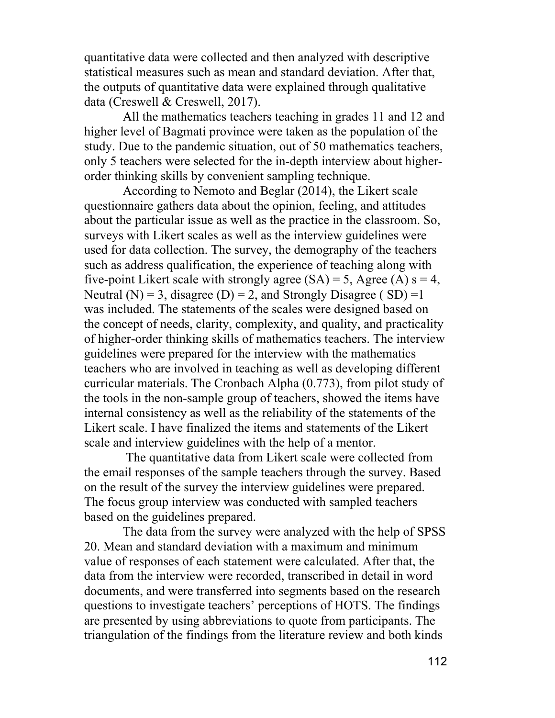quantitative data were collected and then analyzed with descriptive statistical measures such as mean and standard deviation. After that, the outputs of quantitative data were explained through qualitative data (Creswell & Creswell, 2017).

All the mathematics teachers teaching in grades 11 and 12 and higher level of Bagmati province were taken as the population of the study. Due to the pandemic situation, out of 50 mathematics teachers, only 5 teachers were selected for the in-depth interview about higherorder thinking skills by convenient sampling technique.

According to Nemoto and Beglar (2014), the Likert scale questionnaire gathers data about the opinion, feeling, and attitudes about the particular issue as well as the practice in the classroom. So, surveys with Likert scales as well as the interview guidelines were used for data collection. The survey, the demography of the teachers such as address qualification, the experience of teaching along with five-point Likert scale with strongly agree  $(SA) = 5$ , Agree  $(A)$  s = 4, Neutral (N) = 3, disagree (D) = 2, and Strongly Disagree (SD) = 1 was included. The statements of the scales were designed based on the concept of needs, clarity, complexity, and quality, and practicality of higher-order thinking skills of mathematics teachers. The interview guidelines were prepared for the interview with the mathematics teachers who are involved in teaching as well as developing different curricular materials. The Cronbach Alpha (0.773), from pilot study of the tools in the non-sample group of teachers, showed the items have internal consistency as well as the reliability of the statements of the Likert scale. I have finalized the items and statements of the Likert scale and interview guidelines with the help of a mentor.

The quantitative data from Likert scale were collected from the email responses of the sample teachers through the survey. Based on the result of the survey the interview guidelines were prepared. The focus group interview was conducted with sampled teachers based on the guidelines prepared.

The data from the survey were analyzed with the help of SPSS 20. Mean and standard deviation with a maximum and minimum value of responses of each statement were calculated. After that, the data from the interview were recorded, transcribed in detail in word documents, and were transferred into segments based on the research questions to investigate teachers' perceptions of HOTS. The findings are presented by using abbreviations to quote from participants. The triangulation of the findings from the literature review and both kinds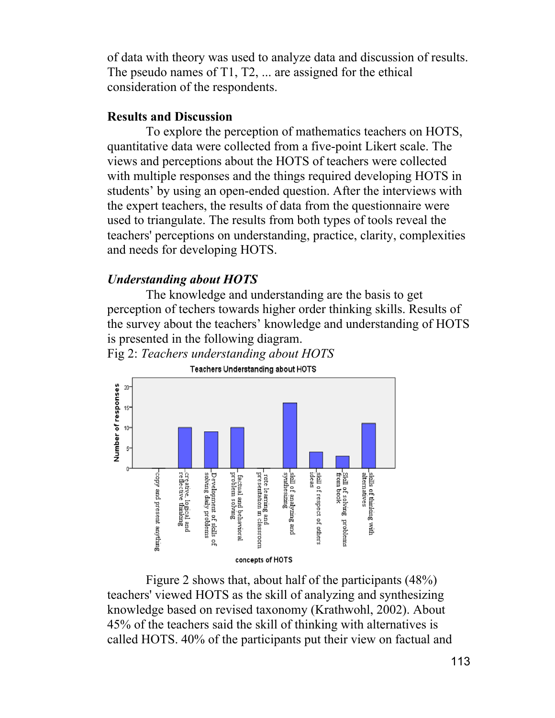of data with theory was used to analyze data and discussion of results. The pseudo names of T1, T2, ... are assigned for the ethical consideration of the respondents.

## **Results and Discussion**

To explore the perception of mathematics teachers on HOTS, quantitative data were collected from a five-point Likert scale. The views and perceptions about the HOTS of teachers were collected with multiple responses and the things required developing HOTS in students' by using an open-ended question. After the interviews with the expert teachers, the results of data from the questionnaire were used to triangulate. The results from both types of tools reveal the teachers' perceptions on understanding, practice, clarity, complexities and needs for developing HOTS.

## *Understanding about HOTS*

The knowledge and understanding are the basis to get perception of techers towards higher order thinking skills. Results of the survey about the teachers' knowledge and understanding of HOTS is presented in the following diagram. Fig 2: *Teachers understanding about HOTS*



Teachers Understanding about HOTS

Figure 2 shows that, about half of the participants (48%) teachers' viewed HOTS as the skill of analyzing and synthesizing knowledge based on revised taxonomy (Krathwohl, 2002). About 45% of the teachers said the skill of thinking with alternatives is called HOTS. 40% of the participants put their view on factual and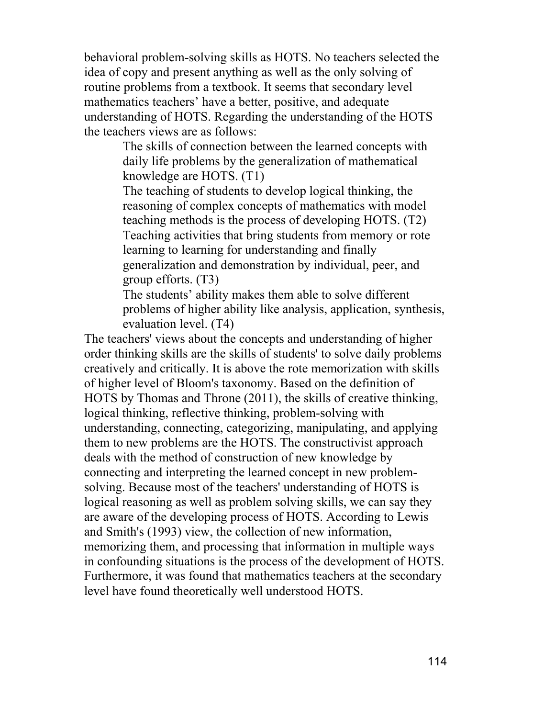behavioral problem-solving skills as HOTS. No teachers selected the idea of copy and present anything as well as the only solving of routine problems from a textbook. It seems that secondary level mathematics teachers' have a better, positive, and adequate understanding of HOTS. Regarding the understanding of the HOTS the teachers views are as follows:

> The skills of connection between the learned concepts with daily life problems by the generalization of mathematical knowledge are HOTS. (T1)

> The teaching of students to develop logical thinking, the reasoning of complex concepts of mathematics with model teaching methods is the process of developing HOTS. (T2) Teaching activities that bring students from memory or rote learning to learning for understanding and finally generalization and demonstration by individual, peer, and group efforts. (T3)

The students' ability makes them able to solve different problems of higher ability like analysis, application, synthesis, evaluation level. (T4)

The teachers' views about the concepts and understanding of higher order thinking skills are the skills of students' to solve daily problems creatively and critically. It is above the rote memorization with skills of higher level of Bloom's taxonomy. Based on the definition of HOTS by Thomas and Throne (2011), the skills of creative thinking, logical thinking, reflective thinking, problem-solving with understanding, connecting, categorizing, manipulating, and applying them to new problems are the HOTS. The constructivist approach deals with the method of construction of new knowledge by connecting and interpreting the learned concept in new problemsolving. Because most of the teachers' understanding of HOTS is logical reasoning as well as problem solving skills, we can say they are aware of the developing process of HOTS. According to Lewis and Smith's (1993) view, the collection of new information, memorizing them, and processing that information in multiple ways in confounding situations is the process of the development of HOTS. Furthermore, it was found that mathematics teachers at the secondary level have found theoretically well understood HOTS.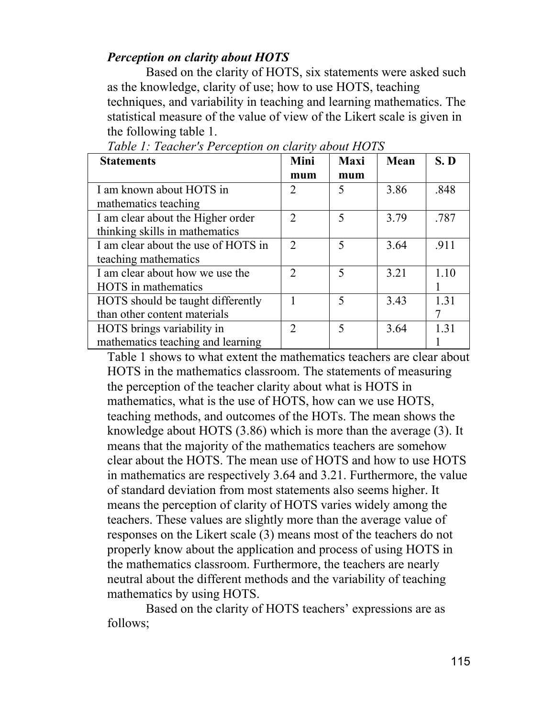## *Perception on clarity about HOTS*

Based on the clarity of HOTS, six statements were asked such as the knowledge, clarity of use; how to use HOTS, teaching techniques, and variability in teaching and learning mathematics. The statistical measure of the value of view of the Likert scale is given in the following table 1.

| <b>Statements</b>                   | Mini           | <b>Maxi</b>                 | Mean | S.D  |
|-------------------------------------|----------------|-----------------------------|------|------|
|                                     | mum            | mum                         |      |      |
| I am known about HOTS in            | 2              | 5                           | 3.86 | .848 |
| mathematics teaching                |                |                             |      |      |
| I am clear about the Higher order   | $\overline{2}$ | 5                           | 3.79 | .787 |
| thinking skills in mathematics      |                |                             |      |      |
| I am clear about the use of HOTS in | 2              | $\mathcal{F}_{\mathcal{F}}$ | 3.64 | .911 |
| teaching mathematics                |                |                             |      |      |
| I am clear about how we use the     | $\mathfrak{D}$ | 5                           | 3.21 | 1.10 |
| <b>HOTS</b> in mathematics          |                |                             |      |      |
| HOTS should be taught differently   |                | $\overline{\phantom{0}}$    | 3.43 | 1.31 |
| than other content materials        |                |                             |      |      |
| HOTS brings variability in          | $\overline{2}$ | 5                           | 3.64 | 1.31 |
| mathematics teaching and learning   |                |                             |      |      |

|  |  | Table 1: Teacher's Perception on clarity about HOTS |
|--|--|-----------------------------------------------------|
|  |  |                                                     |

Table 1 shows to what extent the mathematics teachers are clear about HOTS in the mathematics classroom. The statements of measuring the perception of the teacher clarity about what is HOTS in mathematics, what is the use of HOTS, how can we use HOTS, teaching methods, and outcomes of the HOTs. The mean shows the knowledge about HOTS (3.86) which is more than the average (3). It means that the majority of the mathematics teachers are somehow clear about the HOTS. The mean use of HOTS and how to use HOTS in mathematics are respectively 3.64 and 3.21. Furthermore, the value of standard deviation from most statements also seems higher. It means the perception of clarity of HOTS varies widely among the teachers. These values are slightly more than the average value of responses on the Likert scale (3) means most of the teachers do not properly know about the application and process of using HOTS in the mathematics classroom. Furthermore, the teachers are nearly neutral about the different methods and the variability of teaching mathematics by using HOTS.

Based on the clarity of HOTS teachers' expressions are as follows;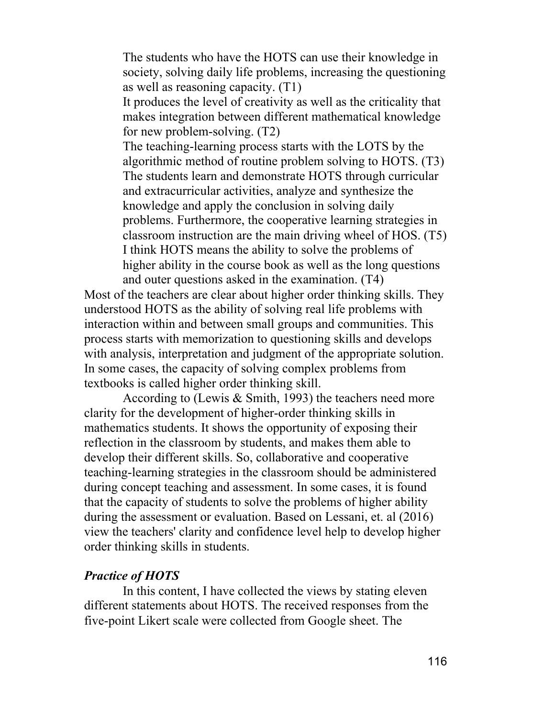The students who have the HOTS can use their knowledge in society, solving daily life problems, increasing the questioning as well as reasoning capacity. (T1)

It produces the level of creativity as well as the criticality that makes integration between different mathematical knowledge for new problem-solving. (T2)

The teaching-learning process starts with the LOTS by the algorithmic method of routine problem solving to HOTS. (T3) The students learn and demonstrate HOTS through curricular and extracurricular activities, analyze and synthesize the knowledge and apply the conclusion in solving daily problems. Furthermore, the cooperative learning strategies in classroom instruction are the main driving wheel of HOS. (T5) I think HOTS means the ability to solve the problems of higher ability in the course book as well as the long questions and outer questions asked in the examination. (T4)

Most of the teachers are clear about higher order thinking skills. They understood HOTS as the ability of solving real life problems with interaction within and between small groups and communities. This process starts with memorization to questioning skills and develops with analysis, interpretation and judgment of the appropriate solution. In some cases, the capacity of solving complex problems from textbooks is called higher order thinking skill.

According to (Lewis & Smith, 1993) the teachers need more clarity for the development of higher-order thinking skills in mathematics students. It shows the opportunity of exposing their reflection in the classroom by students, and makes them able to develop their different skills. So, collaborative and cooperative teaching-learning strategies in the classroom should be administered during concept teaching and assessment. In some cases, it is found that the capacity of students to solve the problems of higher ability during the assessment or evaluation. Based on Lessani, et. al (2016) view the teachers' clarity and confidence level help to develop higher order thinking skills in students.

## *Practice of HOTS*

In this content, I have collected the views by stating eleven different statements about HOTS. The received responses from the five-point Likert scale were collected from Google sheet. The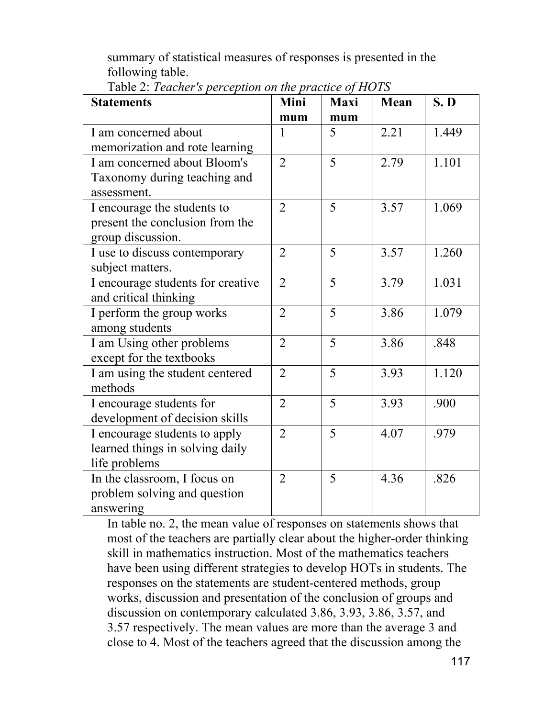summary of statistical measures of responses is presented in the following table.

| <b>Statements</b>                 | Mini           | <b>Maxi</b> | <b>Mean</b> | S.D   |
|-----------------------------------|----------------|-------------|-------------|-------|
|                                   | mum            | mum         |             |       |
| I am concerned about              | 1              | 5           | 2.21        | 1.449 |
| memorization and rote learning    |                |             |             |       |
| I am concerned about Bloom's      | $\overline{2}$ | 5           | 2.79        | 1.101 |
| Taxonomy during teaching and      |                |             |             |       |
| assessment.                       |                |             |             |       |
| I encourage the students to       | $\overline{2}$ | 5           | 3.57        | 1.069 |
| present the conclusion from the   |                |             |             |       |
| group discussion.                 |                |             |             |       |
| I use to discuss contemporary     | $\overline{2}$ | 5           | 3.57        | 1.260 |
| subject matters.                  |                |             |             |       |
| I encourage students for creative | $\overline{2}$ | 5           | 3.79        | 1.031 |
| and critical thinking             |                |             |             |       |
| I perform the group works         | $\overline{2}$ | 5           | 3.86        | 1.079 |
| among students                    |                |             |             |       |
| I am Using other problems         | $\overline{2}$ | 5           | 3.86        | .848  |
| except for the textbooks          |                |             |             |       |
| I am using the student centered   | $\overline{2}$ | 5           | 3.93        | 1.120 |
| methods                           |                |             |             |       |
| I encourage students for          | $\overline{2}$ | 5           | 3.93        | .900  |
| development of decision skills    |                |             |             |       |
| I encourage students to apply     | $\overline{2}$ | 5           | 4.07        | .979  |
| learned things in solving daily   |                |             |             |       |
| life problems                     |                |             |             |       |
| In the classroom, I focus on      | $\overline{2}$ | 5           | 4.36        | .826  |
| problem solving and question      |                |             |             |       |
| answering                         |                |             |             |       |

Table 2: *Teacher's perception on the practice of HOTS*

In table no. 2, the mean value of responses on statements shows that most of the teachers are partially clear about the higher-order thinking skill in mathematics instruction. Most of the mathematics teachers have been using different strategies to develop HOTs in students. The responses on the statements are student-centered methods, group works, discussion and presentation of the conclusion of groups and discussion on contemporary calculated 3.86, 3.93, 3.86, 3.57, and 3.57 respectively. The mean values are more than the average 3 and close to 4. Most of the teachers agreed that the discussion among the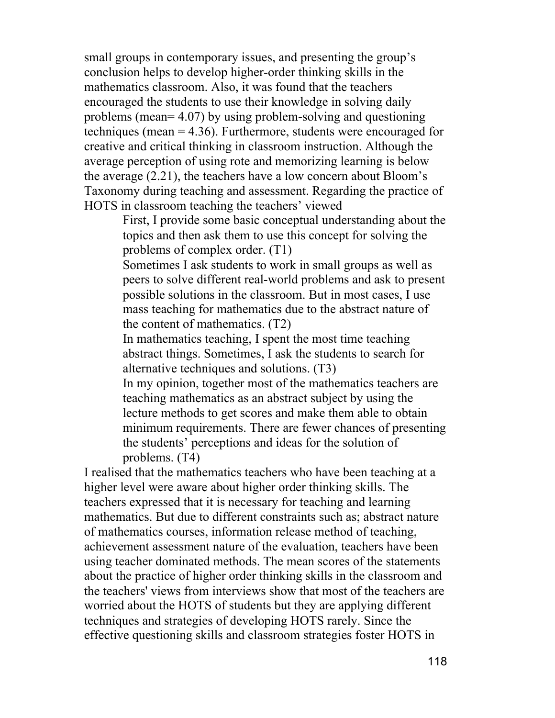small groups in contemporary issues, and presenting the group's conclusion helps to develop higher-order thinking skills in the mathematics classroom. Also, it was found that the teachers encouraged the students to use their knowledge in solving daily problems (mean= 4.07) by using problem-solving and questioning techniques (mean = 4.36). Furthermore, students were encouraged for creative and critical thinking in classroom instruction. Although the average perception of using rote and memorizing learning is below the average (2.21), the teachers have a low concern about Bloom's Taxonomy during teaching and assessment. Regarding the practice of HOTS in classroom teaching the teachers' viewed

> First, I provide some basic conceptual understanding about the topics and then ask them to use this concept for solving the problems of complex order. (T1)

> Sometimes I ask students to work in small groups as well as peers to solve different real-world problems and ask to present possible solutions in the classroom. But in most cases, I use mass teaching for mathematics due to the abstract nature of the content of mathematics. (T2)

In mathematics teaching, I spent the most time teaching abstract things. Sometimes, I ask the students to search for alternative techniques and solutions. (T3)

In my opinion, together most of the mathematics teachers are teaching mathematics as an abstract subject by using the lecture methods to get scores and make them able to obtain minimum requirements. There are fewer chances of presenting the students' perceptions and ideas for the solution of problems. (T4)

I realised that the mathematics teachers who have been teaching at a higher level were aware about higher order thinking skills. The teachers expressed that it is necessary for teaching and learning mathematics. But due to different constraints such as; abstract nature of mathematics courses, information release method of teaching, achievement assessment nature of the evaluation, teachers have been using teacher dominated methods. The mean scores of the statements about the practice of higher order thinking skills in the classroom and the teachers' views from interviews show that most of the teachers are worried about the HOTS of students but they are applying different techniques and strategies of developing HOTS rarely. Since the effective questioning skills and classroom strategies foster HOTS in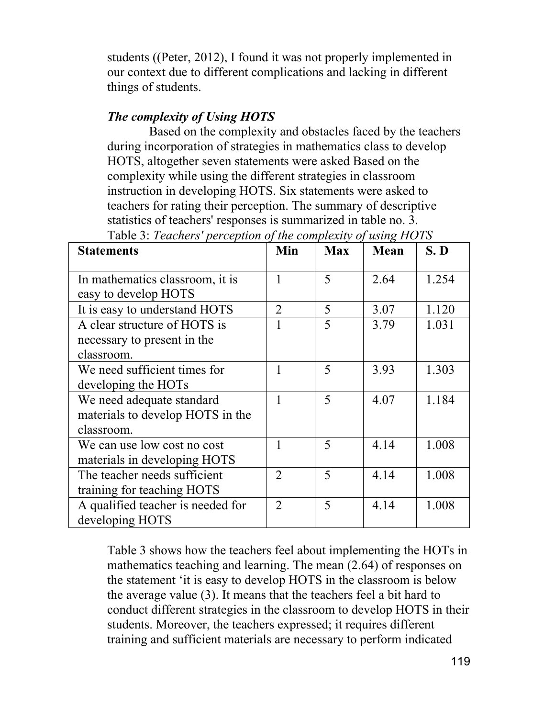students ((Peter, 2012), I found it was not properly implemented in our context due to different complications and lacking in different things of students.

## *The complexity of Using HOTS*

Based on the complexity and obstacles faced by the teachers during incorporation of strategies in mathematics class to develop HOTS, altogether seven statements were asked Based on the complexity while using the different strategies in classroom instruction in developing HOTS. Six statements were asked to teachers for rating their perception. The summary of descriptive statistics of teachers' responses is summarized in table no. 3.

| <b>Statements</b>                 | Min            | <b>Max</b> | Mean | S.D   |
|-----------------------------------|----------------|------------|------|-------|
|                                   |                |            |      |       |
| In mathematics classroom, it is   |                | 5          | 2.64 | 1.254 |
| easy to develop HOTS              |                |            |      |       |
| It is easy to understand HOTS     | $\overline{2}$ | 5          | 3.07 | 1.120 |
| A clear structure of HOTS is      |                | 5          | 3.79 | 1.031 |
| necessary to present in the       |                |            |      |       |
| classroom.                        |                |            |      |       |
| We need sufficient times for      |                | 5          | 3.93 | 1.303 |
| developing the HOTs               |                |            |      |       |
| We need adequate standard         |                | 5          | 4.07 | 1.184 |
| materials to develop HOTS in the  |                |            |      |       |
| classroom.                        |                |            |      |       |
| We can use low cost no cost       |                | 5          | 4.14 | 1.008 |
| materials in developing HOTS      |                |            |      |       |
| The teacher needs sufficient      | $\mathfrak{D}$ | 5          | 4.14 | 1.008 |
| training for teaching HOTS        |                |            |      |       |
| A qualified teacher is needed for | $\mathfrak{D}$ | 5          | 4.14 | 1.008 |
| developing HOTS                   |                |            |      |       |

Table 3: *Teachers' perception of the complexity of using HOTS*

Table 3 shows how the teachers feel about implementing the HOTs in mathematics teaching and learning. The mean (2.64) of responses on the statement 'it is easy to develop HOTS in the classroom is below the average value (3). It means that the teachers feel a bit hard to conduct different strategies in the classroom to develop HOTS in their students. Moreover, the teachers expressed; it requires different training and sufficient materials are necessary to perform indicated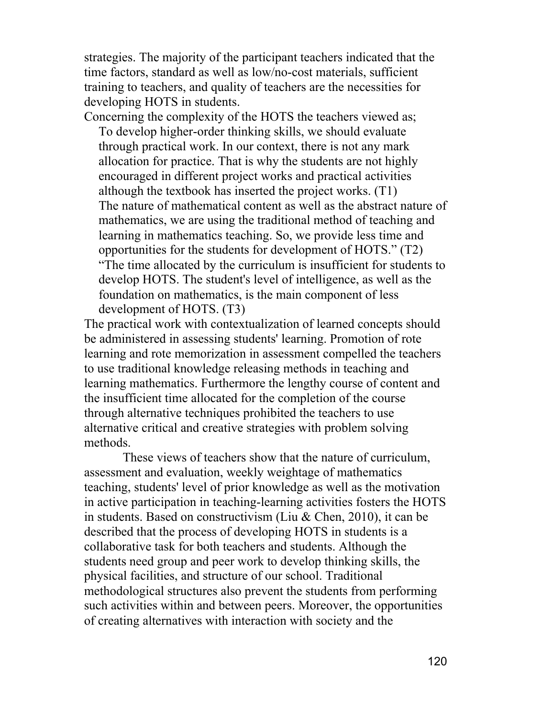strategies. The majority of the participant teachers indicated that the time factors, standard as well as low/no-cost materials, sufficient training to teachers, and quality of teachers are the necessities for developing HOTS in students.

Concerning the complexity of the HOTS the teachers viewed as; To develop higher-order thinking skills, we should evaluate through practical work. In our context, there is not any mark allocation for practice. That is why the students are not highly encouraged in different project works and practical activities although the textbook has inserted the project works. (T1) The nature of mathematical content as well as the abstract nature of mathematics, we are using the traditional method of teaching and learning in mathematics teaching. So, we provide less time and opportunities for the students for development of HOTS." (T2) "The time allocated by the curriculum is insufficient for students to develop HOTS. The student's level of intelligence, as well as the foundation on mathematics, is the main component of less development of HOTS. (T3)

The practical work with contextualization of learned concepts should be administered in assessing students' learning. Promotion of rote learning and rote memorization in assessment compelled the teachers to use traditional knowledge releasing methods in teaching and learning mathematics. Furthermore the lengthy course of content and the insufficient time allocated for the completion of the course through alternative techniques prohibited the teachers to use alternative critical and creative strategies with problem solving methods.

These views of teachers show that the nature of curriculum, assessment and evaluation, weekly weightage of mathematics teaching, students' level of prior knowledge as well as the motivation in active participation in teaching-learning activities fosters the HOTS in students. Based on constructivism (Liu & Chen, 2010), it can be described that the process of developing HOTS in students is a collaborative task for both teachers and students. Although the students need group and peer work to develop thinking skills, the physical facilities, and structure of our school. Traditional methodological structures also prevent the students from performing such activities within and between peers. Moreover, the opportunities of creating alternatives with interaction with society and the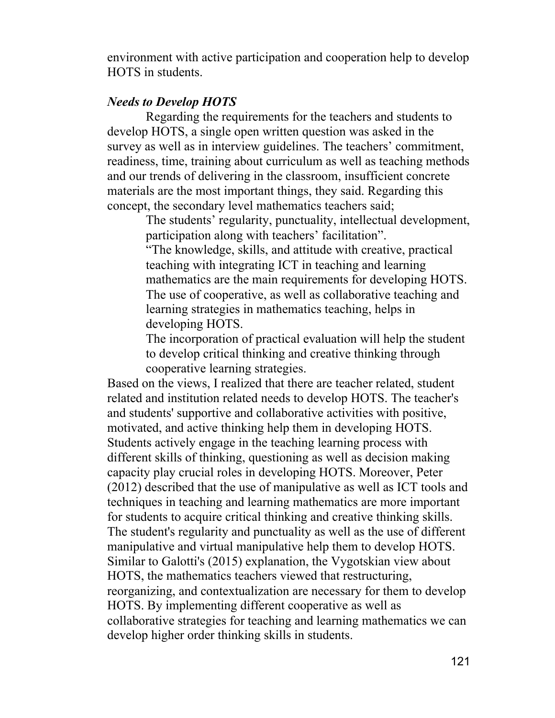environment with active participation and cooperation help to develop HOTS in students.

### *Needs to Develop HOTS*

Regarding the requirements for the teachers and students to develop HOTS, a single open written question was asked in the survey as well as in interview guidelines. The teachers' commitment, readiness, time, training about curriculum as well as teaching methods and our trends of delivering in the classroom, insufficient concrete materials are the most important things, they said. Regarding this concept, the secondary level mathematics teachers said;

The students' regularity, punctuality, intellectual development, participation along with teachers' facilitation".

"The knowledge, skills, and attitude with creative, practical teaching with integrating ICT in teaching and learning mathematics are the main requirements for developing HOTS. The use of cooperative, as well as collaborative teaching and learning strategies in mathematics teaching, helps in developing HOTS.

The incorporation of practical evaluation will help the student to develop critical thinking and creative thinking through cooperative learning strategies.

Based on the views, I realized that there are teacher related, student related and institution related needs to develop HOTS. The teacher's and students' supportive and collaborative activities with positive, motivated, and active thinking help them in developing HOTS. Students actively engage in the teaching learning process with different skills of thinking, questioning as well as decision making capacity play crucial roles in developing HOTS. Moreover, Peter (2012) described that the use of manipulative as well as ICT tools and techniques in teaching and learning mathematics are more important for students to acquire critical thinking and creative thinking skills. The student's regularity and punctuality as well as the use of different manipulative and virtual manipulative help them to develop HOTS. Similar to Galotti's (2015) explanation, the Vygotskian view about HOTS, the mathematics teachers viewed that restructuring, reorganizing, and contextualization are necessary for them to develop HOTS. By implementing different cooperative as well as collaborative strategies for teaching and learning mathematics we can develop higher order thinking skills in students.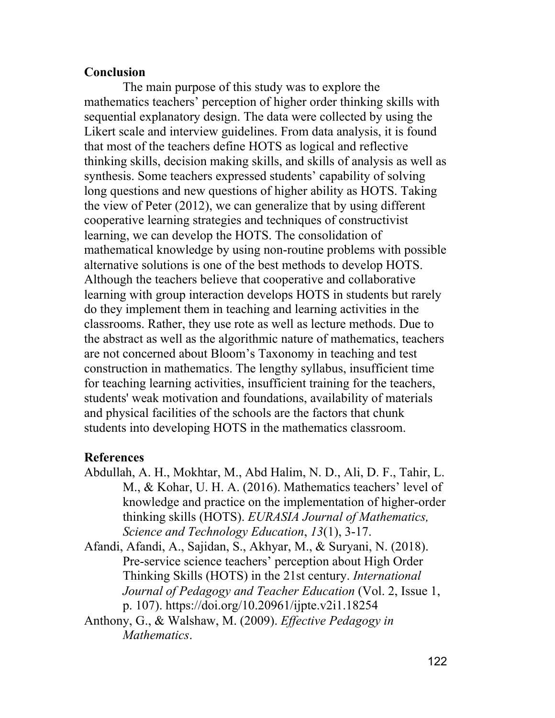## **Conclusion**

The main purpose of this study was to explore the mathematics teachers' perception of higher order thinking skills with sequential explanatory design. The data were collected by using the Likert scale and interview guidelines. From data analysis, it is found that most of the teachers define HOTS as logical and reflective thinking skills, decision making skills, and skills of analysis as well as synthesis. Some teachers expressed students' capability of solving long questions and new questions of higher ability as HOTS. Taking the view of Peter (2012), we can generalize that by using different cooperative learning strategies and techniques of constructivist learning, we can develop the HOTS. The consolidation of mathematical knowledge by using non-routine problems with possible alternative solutions is one of the best methods to develop HOTS. Although the teachers believe that cooperative and collaborative learning with group interaction develops HOTS in students but rarely do they implement them in teaching and learning activities in the classrooms. Rather, they use rote as well as lecture methods. Due to the abstract as well as the algorithmic nature of mathematics, teachers are not concerned about Bloom's Taxonomy in teaching and test construction in mathematics. The lengthy syllabus, insufficient time for teaching learning activities, insufficient training for the teachers, students' weak motivation and foundations, availability of materials and physical facilities of the schools are the factors that chunk students into developing HOTS in the mathematics classroom.

# **References**

- Abdullah, A. H., Mokhtar, M., Abd Halim, N. D., Ali, D. F., Tahir, L. M., & Kohar, U. H. A. (2016). Mathematics teachers' level of knowledge and practice on the implementation of higher-order thinking skills (HOTS). *EURASIA Journal of Mathematics, Science and Technology Education*, *13*(1), 3-17.
- Afandi, Afandi, A., Sajidan, S., Akhyar, M., & Suryani, N. (2018). Pre-service science teachers' perception about High Order Thinking Skills (HOTS) in the 21st century. *International Journal of Pedagogy and Teacher Education* (Vol. 2, Issue 1, p. 107). https://doi.org/10.20961/ijpte.v2i1.18254
- Anthony, G., & Walshaw, M. (2009). *Effective Pedagogy in Mathematics*.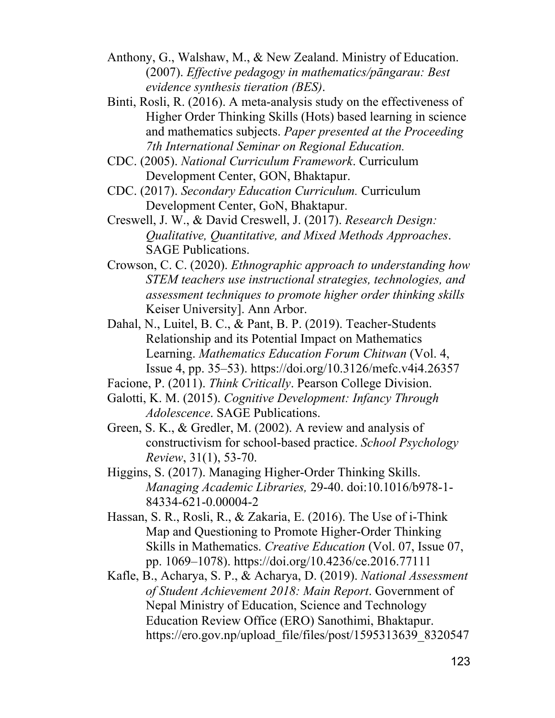- Anthony, G., Walshaw, M., & New Zealand. Ministry of Education. (2007). *Effective pedagogy in mathematics/pāngarau: Best evidence synthesis tieration (BES)*.
- Binti, Rosli, R. (2016). A meta-analysis study on the effectiveness of Higher Order Thinking Skills (Hots) based learning in science and mathematics subjects. *Paper presented at the Proceeding 7th International Seminar on Regional Education.*
- CDC. (2005). *National Curriculum Framework*. Curriculum Development Center, GON, Bhaktapur.
- CDC. (2017). *Secondary Education Curriculum.* Curriculum Development Center, GoN, Bhaktapur.
- Creswell, J. W., & David Creswell, J. (2017). *Research Design: Qualitative, Quantitative, and Mixed Methods Approaches*. SAGE Publications.
- Crowson, C. C. (2020). *Ethnographic approach to understanding how STEM teachers use instructional strategies, technologies, and assessment techniques to promote higher order thinking skills* Keiser University]. Ann Arbor.
- Dahal, N., Luitel, B. C., & Pant, B. P. (2019). Teacher-Students Relationship and its Potential Impact on Mathematics Learning. *Mathematics Education Forum Chitwan* (Vol. 4, Issue 4, pp. 35–53). https://doi.org/10.3126/mefc.v4i4.26357
- Facione, P. (2011). *Think Critically*. Pearson College Division.
- Galotti, K. M. (2015). *Cognitive Development: Infancy Through Adolescence*. SAGE Publications.
- Green, S. K., & Gredler, M. (2002). A review and analysis of constructivism for school-based practice. *School Psychology Review*, 31(1), 53-70.
- Higgins, S. (2017). Managing Higher-Order Thinking Skills. *Managing Academic Libraries,* 29-40. doi:10.1016/b978-1- 84334-621-0.00004-2
- Hassan, S. R., Rosli, R., & Zakaria, E. (2016). The Use of i-Think Map and Questioning to Promote Higher-Order Thinking Skills in Mathematics. *Creative Education* (Vol. 07, Issue 07, pp. 1069–1078). https://doi.org/10.4236/ce.2016.77111
- Kafle, B., Acharya, S. P., & Acharya, D. (2019). *National Assessment of Student Achievement 2018: Main Report*. Government of Nepal Ministry of Education, Science and Technology Education Review Office (ERO) Sanothimi, Bhaktapur. https://ero.gov.np/upload\_file/files/post/1595313639\_8320547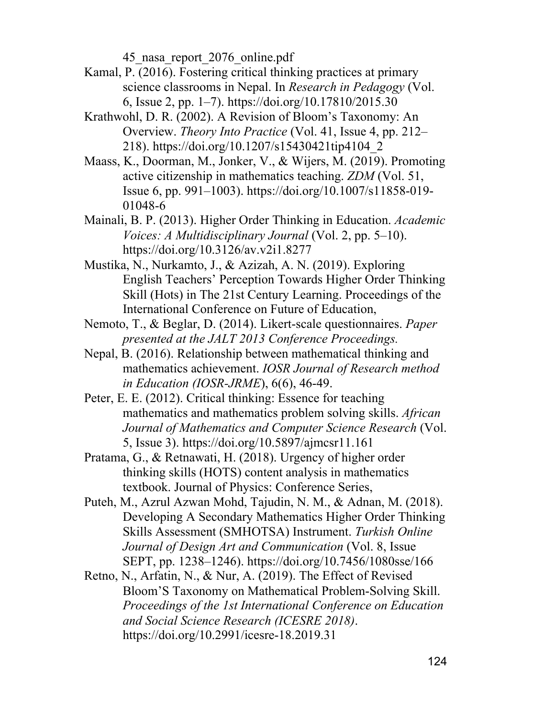45\_nasa\_report\_2076\_online.pdf

- Kamal, P. (2016). Fostering critical thinking practices at primary science classrooms in Nepal. In *Research in Pedagogy* (Vol. 6, Issue 2, pp. 1–7). https://doi.org/10.17810/2015.30
- Krathwohl, D. R. (2002). A Revision of Bloom's Taxonomy: An Overview. *Theory Into Practice* (Vol. 41, Issue 4, pp. 212– 218). https://doi.org/10.1207/s15430421tip4104\_2
- Maass, K., Doorman, M., Jonker, V., & Wijers, M. (2019). Promoting active citizenship in mathematics teaching. *ZDM* (Vol. 51, Issue 6, pp. 991–1003). https://doi.org/10.1007/s11858-019- 01048-6
- Mainali, B. P. (2013). Higher Order Thinking in Education. *Academic Voices: A Multidisciplinary Journal* (Vol. 2, pp. 5–10). https://doi.org/10.3126/av.v2i1.8277
- Mustika, N., Nurkamto, J., & Azizah, A. N. (2019). Exploring English Teachers' Perception Towards Higher Order Thinking Skill (Hots) in The 21st Century Learning. Proceedings of the International Conference on Future of Education,
- Nemoto, T., & Beglar, D. (2014). Likert-scale questionnaires. *Paper presented at the JALT 2013 Conference Proceedings.*
- Nepal, B. (2016). Relationship between mathematical thinking and mathematics achievement. *IOSR Journal of Research method in Education (IOSR-JRME*), 6(6), 46-49.
- Peter, E. E. (2012). Critical thinking: Essence for teaching mathematics and mathematics problem solving skills. *African Journal of Mathematics and Computer Science Research* (Vol. 5, Issue 3). https://doi.org/10.5897/ajmcsr11.161
- Pratama, G., & Retnawati, H. (2018). Urgency of higher order thinking skills (HOTS) content analysis in mathematics textbook. Journal of Physics: Conference Series,
- Puteh, M., Azrul Azwan Mohd, Tajudin, N. M., & Adnan, M. (2018). Developing A Secondary Mathematics Higher Order Thinking Skills Assessment (SMHOTSA) Instrument. *Turkish Online Journal of Design Art and Communication* (Vol. 8, Issue SEPT, pp. 1238–1246). https://doi.org/10.7456/1080sse/166
- Retno, N., Arfatin, N., & Nur, A. (2019). The Effect of Revised Bloom'S Taxonomy on Mathematical Problem-Solving Skill. *Proceedings of the 1st International Conference on Education and Social Science Research (ICESRE 2018)*. https://doi.org/10.2991/icesre-18.2019.31